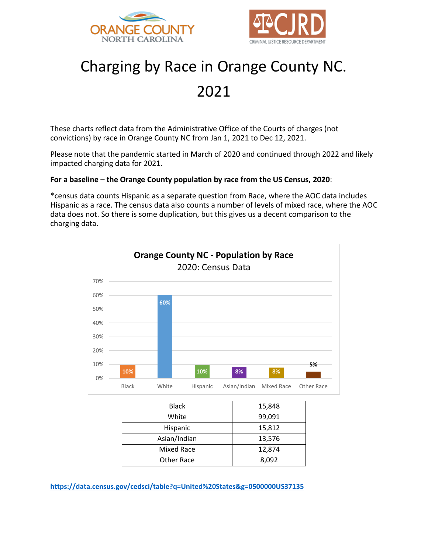



# Charging by Race in Orange County NC.

# 2021

These charts reflect data from the Administrative Office of the Courts of charges (not convictions) by race in Orange County NC from Jan 1, 2021 to Dec 12, 2021.

Please note that the pandemic started in March of 2020 and continued through 2022 and likely impacted charging data for 2021.

# **For a baseline – the Orange County population by race from the US Census, 2020**:

\*census data counts Hispanic as a separate question from Race, where the AOC data includes Hispanic as a race. The census data also counts a number of levels of mixed race, where the AOC data does not. So there is some duplication, but this gives us a decent comparison to the charging data.



| <b>Black</b> | 15,848 |
|--------------|--------|
| White        | 99,091 |
| Hispanic     | 15,812 |
| Asian/Indian | 13,576 |
| Mixed Race   | 12,874 |
| Other Race   | 8,092  |

**<https://data.census.gov/cedsci/table?q=United%20States&g=0500000US37135>**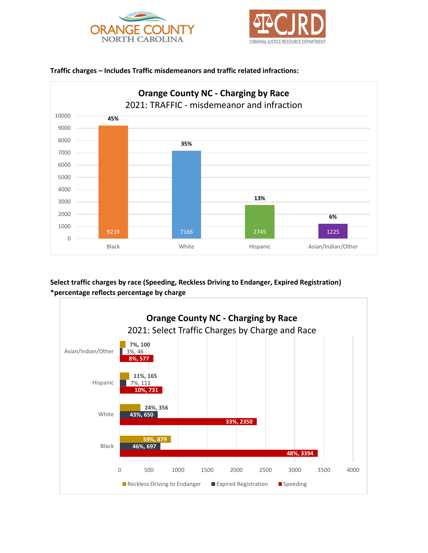





#### **Traffic charges – Includes Traffic misdemeanors and traffic related infractions:**

**Select traffic charges by race (Speeding, Reckless Driving to Endanger, Expired Registration) \*percentage reflects percentage by charge**

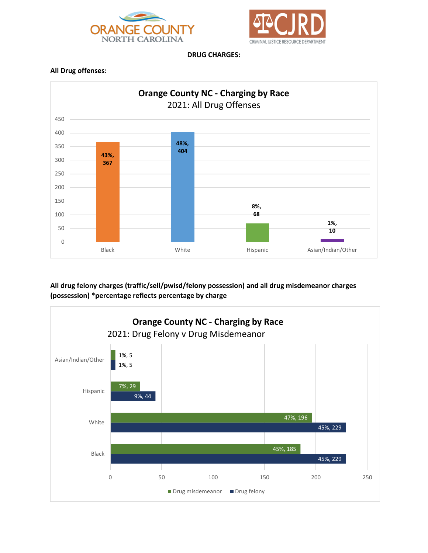



**DRUG CHARGES:**

#### **All Drug offenses:**



**All drug felony charges (traffic/sell/pwisd/felony possession) and all drug misdemeanor charges (possession) \*percentage reflects percentage by charge**

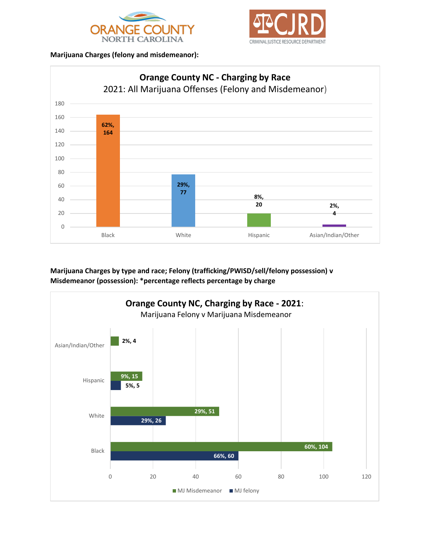



#### **Marijuana Charges (felony and misdemeanor):**



**Marijuana Charges by type and race; Felony (trafficking/PWISD/sell/felony possession) v Misdemeanor (possession): \*percentage reflects percentage by charge**

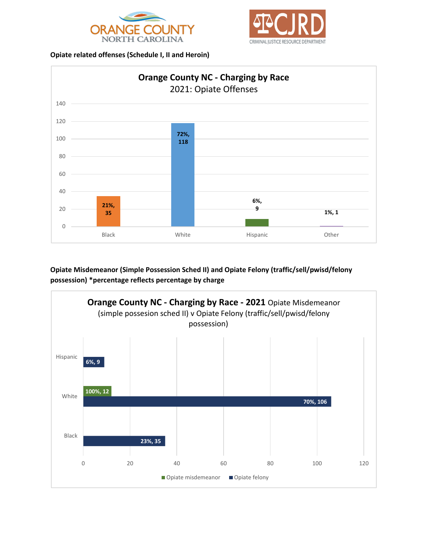



#### **Opiate related offenses (Schedule I, II and Heroin)**



## **Opiate Misdemeanor (Simple Possession Sched II) and Opiate Felony (traffic/sell/pwisd/felony possession) \*percentage reflects percentage by charge**

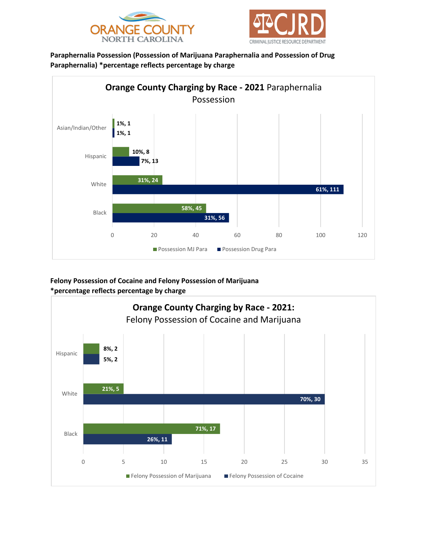



**Paraphernalia Possession (Possession of Marijuana Paraphernalia and Possession of Drug Paraphernalia) \*percentage reflects percentage by charge**



**Felony Possession of Cocaine and Felony Possession of Marijuana \*percentage reflects percentage by charge**